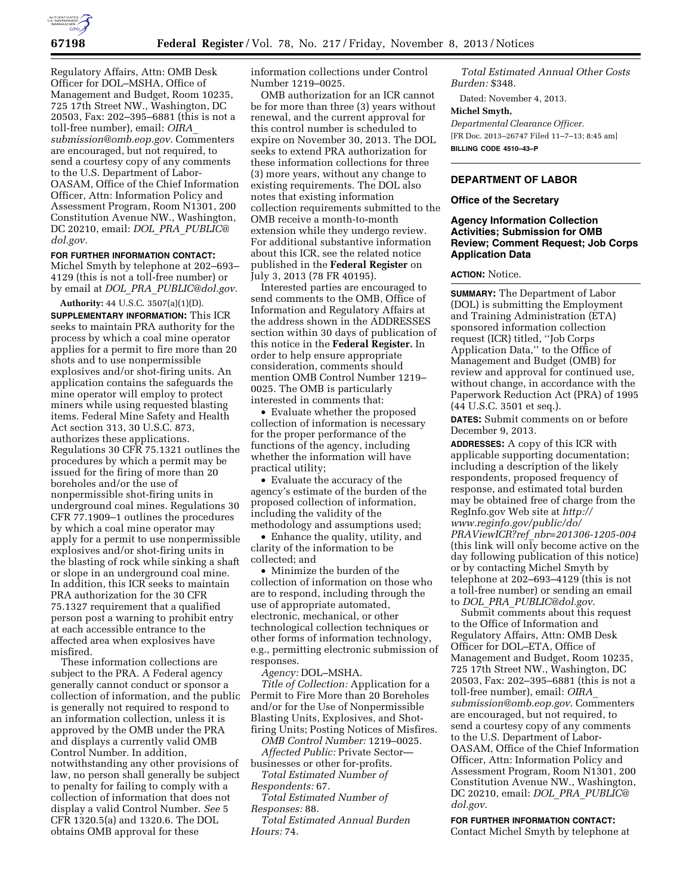

Regulatory Affairs, Attn: OMB Desk Officer for DOL–MSHA, Office of Management and Budget, Room 10235, 725 17th Street NW., Washington, DC 20503, Fax: 202–395–6881 (this is not a toll-free number), email: *[OIRA](mailto:OIRA_submission@omb.eop.gov)*\_ *[submission@omb.eop.gov.](mailto:OIRA_submission@omb.eop.gov)* Commenters are encouraged, but not required, to send a courtesy copy of any comments to the U.S. Department of Labor-OASAM, Office of the Chief Information Officer, Attn: Information Policy and Assessment Program, Room N1301, 200 Constitution Avenue NW., Washington, DC 20210, email: *DOL*\_*PRA*\_*[PUBLIC@](mailto:DOL_PRA_PUBLIC@dol.gov) [dol.gov.](mailto:DOL_PRA_PUBLIC@dol.gov)* 

#### **FOR FURTHER INFORMATION CONTACT:**

Michel Smyth by telephone at 202–693– 4129 (this is not a toll-free number) or by email at *DOL*\_*PRA*\_*[PUBLIC@dol.gov.](mailto:DOL_PRA_PUBLIC@dol.gov)* 

**Authority:** 44 U.S.C. 3507(a)(1)(D). **SUPPLEMENTARY INFORMATION:** This ICR seeks to maintain PRA authority for the process by which a coal mine operator applies for a permit to fire more than 20 shots and to use nonpermissible explosives and/or shot-firing units. An application contains the safeguards the mine operator will employ to protect miners while using requested blasting items. Federal Mine Safety and Health Act section 313, 30 U.S.C. 873, authorizes these applications. Regulations 30 CFR 75.1321 outlines the procedures by which a permit may be issued for the firing of more than 20 boreholes and/or the use of nonpermissible shot-firing units in underground coal mines. Regulations 30 CFR 77.1909–1 outlines the procedures by which a coal mine operator may apply for a permit to use nonpermissible explosives and/or shot-firing units in the blasting of rock while sinking a shaft or slope in an underground coal mine. In addition, this ICR seeks to maintain PRA authorization for the 30 CFR 75.1327 requirement that a qualified person post a warning to prohibit entry at each accessible entrance to the affected area when explosives have misfired.

These information collections are subject to the PRA. A Federal agency generally cannot conduct or sponsor a collection of information, and the public is generally not required to respond to an information collection, unless it is approved by the OMB under the PRA and displays a currently valid OMB Control Number. In addition, notwithstanding any other provisions of law, no person shall generally be subject to penalty for failing to comply with a collection of information that does not display a valid Control Number. *See* 5 CFR 1320.5(a) and 1320.6. The DOL obtains OMB approval for these

information collections under Control Number 1219–0025.

OMB authorization for an ICR cannot be for more than three (3) years without renewal, and the current approval for this control number is scheduled to expire on November 30, 2013. The DOL seeks to extend PRA authorization for these information collections for three (3) more years, without any change to existing requirements. The DOL also notes that existing information collection requirements submitted to the OMB receive a month-to-month extension while they undergo review. For additional substantive information about this ICR, see the related notice published in the **Federal Register** on July 3, 2013 (78 FR 40195).

Interested parties are encouraged to send comments to the OMB, Office of Information and Regulatory Affairs at the address shown in the ADDRESSES section within 30 days of publication of this notice in the **Federal Register.** In order to help ensure appropriate consideration, comments should mention OMB Control Number 1219– 0025. The OMB is particularly interested in comments that:

• Evaluate whether the proposed collection of information is necessary for the proper performance of the functions of the agency, including whether the information will have practical utility;

• Evaluate the accuracy of the agency's estimate of the burden of the proposed collection of information, including the validity of the methodology and assumptions used;

• Enhance the quality, utility, and clarity of the information to be collected; and

• Minimize the burden of the collection of information on those who are to respond, including through the use of appropriate automated, electronic, mechanical, or other technological collection techniques or other forms of information technology, e.g., permitting electronic submission of responses.

*Agency:* DOL–MSHA.

*Title of Collection:* Application for a Permit to Fire More than 20 Boreholes and/or for the Use of Nonpermissible Blasting Units, Explosives, and Shotfiring Units; Posting Notices of Misfires.

*OMB Control Number:* 1219–0025. *Affected Public:* Private Sector—

businesses or other for-profits. *Total Estimated Number of* 

*Respondents:* 67. *Total Estimated Number of Responses:* 88.

*Total Estimated Annual Burden Hours:* 74.

*Total Estimated Annual Other Costs Burden:* \$348.

Dated: November 4, 2013.

### **Michel Smyth,**

*Departmental Clearance Officer.*  [FR Doc. 2013–26747 Filed 11–7–13; 8:45 am] **BILLING CODE 4510–43–P** 

# **DEPARTMENT OF LABOR**

### **Office of the Secretary**

## **Agency Information Collection Activities; Submission for OMB Review; Comment Request; Job Corps Application Data**

### **ACTION:** Notice.

**SUMMARY:** The Department of Labor (DOL) is submitting the Employment and Training Administration (ETA) sponsored information collection request (ICR) titled, ''Job Corps Application Data,'' to the Office of Management and Budget (OMB) for review and approval for continued use, without change, in accordance with the Paperwork Reduction Act (PRA) of 1995 (44 U.S.C. 3501 et seq.).

**DATES:** Submit comments on or before December 9, 2013.

**ADDRESSES:** A copy of this ICR with applicable supporting documentation; including a description of the likely respondents, proposed frequency of response, and estimated total burden may be obtained free of charge from the RegInfo.gov Web site at *[http://](http://www.reginfo.gov/public/do/PRAViewICR?ref_nbr=201306-1205-004) [www.reginfo.gov/public/do/](http://www.reginfo.gov/public/do/PRAViewICR?ref_nbr=201306-1205-004) PRAViewICR?ref*\_*[nbr=201306-1205-004](http://www.reginfo.gov/public/do/PRAViewICR?ref_nbr=201306-1205-004)*  (this link will only become active on the day following publication of this notice) or by contacting Michel Smyth by telephone at 202–693–4129 (this is not a toll-free number) or sending an email to *DOL*\_*PRA*\_*[PUBLIC@dol.gov](mailto:DOL_PRA_PUBLIC@dol.gov)*.

Submit comments about this request to the Office of Information and Regulatory Affairs, Attn: OMB Desk Officer for DOL–ETA, Office of Management and Budget, Room 10235, 725 17th Street NW., Washington, DC 20503, Fax: 202–395–6881 (this is not a toll-free number), email: *[OIRA](mailto:OIRA_submission@omb.eop.gov)*\_ *[submission@omb.eop.gov](mailto:OIRA_submission@omb.eop.gov)*. Commenters are encouraged, but not required, to send a courtesy copy of any comments to the U.S. Department of Labor-OASAM, Office of the Chief Information Officer, Attn: Information Policy and Assessment Program, Room N1301, 200 Constitution Avenue NW., Washington, DC 20210, email: *DOL*\_*PRA*\_*[PUBLIC@](mailto:DOL_PRA_PUBLIC@dol.gov) [dol.gov](mailto:DOL_PRA_PUBLIC@dol.gov)*.

## **FOR FURTHER INFORMATION CONTACT:**  Contact Michel Smyth by telephone at